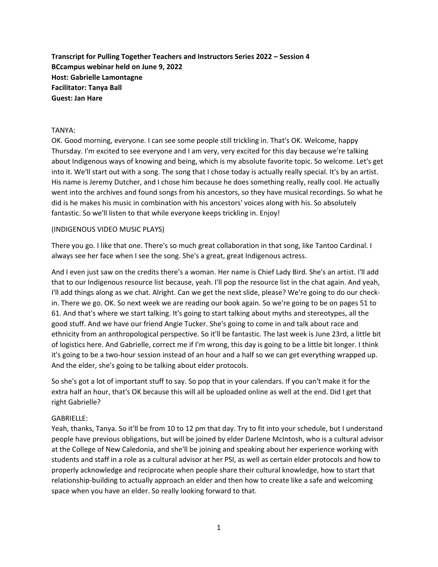**Transcript for Pulling Together Teachers and Instructors Series 2022 – Session 4 BCcampus webinar held on June 9, 2022 Host: Gabrielle Lamontagne Facilitator: Tanya Ball Guest: Jan Hare**

## TANYA:

OK. Good morning, everyone. I can see some people still trickling in. That's OK. Welcome, happy Thursday. I'm excited to see everyone and I am very, very excited for this day because we're talking about Indigenous ways of knowing and being, which is my absolute favorite topic. So welcome. Let's get into it. We'll start out with a song. The song that I chose today is actually really special. It's by an artist. His name is Jeremy Dutcher, and I chose him because he does something really, really cool. He actually went into the archives and found songs from his ancestors, so they have musical recordings. So what he did is he makes his music in combination with his ancestors' voices along with his. So absolutely fantastic. So we'll listen to that while everyone keeps trickling in. Enjoy!

#### (INDIGENOUS VIDEO MUSIC PLAYS)

There you go. I like that one. There's so much great collaboration in that song, like Tantoo Cardinal. I always see her face when I see the song. She's a great, great Indigenous actress.

And I even just saw on the credits there's a woman. Her name is Chief Lady Bird. She's an artist. I'll add that to our Indigenous resource list because, yeah. I'll pop the resource list in the chat again. And yeah, I'll add things along as we chat. Alright. Can we get the next slide, please? We're going to do our checkin. There we go. OK. So next week we are reading our book again. So we're going to be on pages 51 to 61. And that's where we start talking. It's going to start talking about myths and stereotypes, all the good stuff. And we have our friend Angie Tucker. She's going to come in and talk about race and ethnicity from an anthropological perspective. So it'll be fantastic. The last week is June 23rd, a little bit of logistics here. And Gabrielle, correct me if I'm wrong, this day is going to be a little bit longer. I think it's going to be a two-hour session instead of an hour and a half so we can get everything wrapped up. And the elder, she's going to be talking about elder protocols.

So she's got a lot of important stuff to say. So pop that in your calendars. If you can't make it for the extra half an hour, that's OK because this will all be uploaded online as well at the end. Did I get that right Gabrielle?

#### GABRIELLE:

Yeah, thanks, Tanya. So it'll be from 10 to 12 pm that day. Try to fit into your schedule, but I understand people have previous obligations, but will be joined by elder Darlene McIntosh, who is a cultural advisor at the College of New Caledonia, and she'll be joining and speaking about her experience working with students and staff in a role as a cultural advisor at her PSI, as well as certain elder protocols and how to properly acknowledge and reciprocate when people share their cultural knowledge, how to start that relationship-building to actually approach an elder and then how to create like a safe and welcoming space when you have an elder. So really looking forward to that.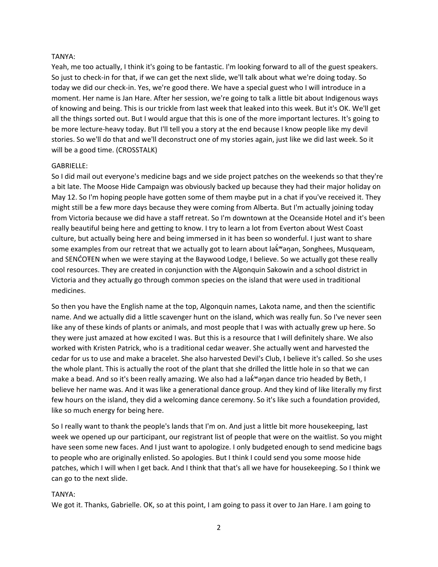## TANYA:

Yeah, me too actually, I think it's going to be fantastic. I'm looking forward to all of the guest speakers. So just to check-in for that, if we can get the next slide, we'll talk about what we're doing today. So today we did our check-in. Yes, we're good there. We have a special guest who I will introduce in a moment. Her name is Jan Hare. After her session, we're going to talk a little bit about Indigenous ways of knowing and being. This is our trickle from last week that leaked into this week. But it's OK. We'll get all the things sorted out. But I would argue that this is one of the more important lectures. It's going to be more lecture-heavy today. But I'll tell you a story at the end because I know people like my devil stories. So we'll do that and we'll deconstruct one of my stories again, just like we did last week. So it will be a good time. (CROSSTALK)

## GABRIELLE:

So I did mail out everyone's medicine bags and we side project patches on the weekends so that they're a bit late. The Moose Hide Campaign was obviously backed up because they had their major holiday on May 12. So I'm hoping people have gotten some of them maybe put in a chat if you've received it. They might still be a few more days because they were coming from Alberta. But I'm actually joining today from Victoria because we did have a staff retreat. So I'm downtown at the Oceanside Hotel and it's been really beautiful being here and getting to know. I try to learn a lot from Everton about West Coast culture, but actually being here and being immersed in it has been so wonderful. I just want to share some examples from our retreat that we actually got to learn about lək "anan, Songhees, Musqueam, and SENĆOŦEN when we were staying at the Baywood Lodge, I believe. So we actually got these really cool resources. They are created in conjunction with the Algonquin Sakowin and a school district in Victoria and they actually go through common species on the island that were used in traditional medicines.

So then you have the English name at the top, Algonquin names, Lakota name, and then the scientific name. And we actually did a little scavenger hunt on the island, which was really fun. So I've never seen like any of these kinds of plants or animals, and most people that I was with actually grew up here. So they were just amazed at how excited I was. But this is a resource that I will definitely share. We also worked with Kristen Patrick, who is a traditional cedar weaver. She actually went and harvested the cedar for us to use and make a bracelet. She also harvested Devil's Club, I believe it's called. So she uses the whole plant. This is actually the root of the plant that she drilled the little hole in so that we can make a bead. And so it's been really amazing. We also had a lək vənən dance trio headed by Beth, I believe her name was. And it was like a generational dance group. And they kind of like literally my first few hours on the island, they did a welcoming dance ceremony. So it's like such a foundation provided, like so much energy for being here.

So I really want to thank the people's lands that I'm on. And just a little bit more housekeeping, last week we opened up our participant, our registrant list of people that were on the waitlist. So you might have seen some new faces. And I just want to apologize. I only budgeted enough to send medicine bags to people who are originally enlisted. So apologies. But I think I could send you some moose hide patches, which I will when I get back. And I think that that's all we have for housekeeping. So I think we can go to the next slide.

#### TANYA:

We got it. Thanks, Gabrielle. OK, so at this point, I am going to pass it over to Jan Hare. I am going to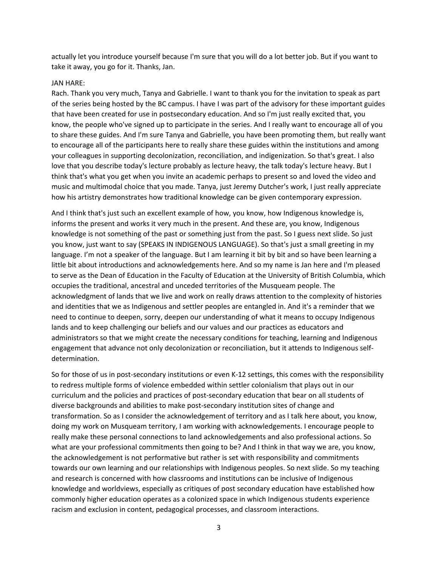actually let you introduce yourself because I'm sure that you will do a lot better job. But if you want to take it away, you go for it. Thanks, Jan.

#### JAN HARE:

Rach. Thank you very much, Tanya and Gabrielle. I want to thank you for the invitation to speak as part of the series being hosted by the BC campus. I have I was part of the advisory for these important guides that have been created for use in postsecondary education. And so I'm just really excited that, you know, the people who've signed up to participate in the series. And I really want to encourage all of you to share these guides. And I'm sure Tanya and Gabrielle, you have been promoting them, but really want to encourage all of the participants here to really share these guides within the institutions and among your colleagues in supporting decolonization, reconciliation, and indigenization. So that's great. I also love that you describe today's lecture probably as lecture heavy, the talk today's lecture heavy. But I think that's what you get when you invite an academic perhaps to present so and loved the video and music and multimodal choice that you made. Tanya, just Jeremy Dutcher's work, I just really appreciate how his artistry demonstrates how traditional knowledge can be given contemporary expression.

And I think that's just such an excellent example of how, you know, how Indigenous knowledge is, informs the present and works it very much in the present. And these are, you know, Indigenous knowledge is not something of the past or something just from the past. So I guess next slide. So just you know, just want to say (SPEAKS IN INDIGENOUS LANGUAGE). So that's just a small greeting in my language. I'm not a speaker of the language. But I am learning it bit by bit and so have been learning a little bit about introductions and acknowledgements here. And so my name is Jan here and I'm pleased to serve as the Dean of Education in the Faculty of Education at the University of British Columbia, which occupies the traditional, ancestral and unceded territories of the Musqueam people. The acknowledgment of lands that we live and work on really draws attention to the complexity of histories and identities that we as Indigenous and settler peoples are entangled in. And it's a reminder that we need to continue to deepen, sorry, deepen our understanding of what it means to occupy Indigenous lands and to keep challenging our beliefs and our values and our practices as educators and administrators so that we might create the necessary conditions for teaching, learning and Indigenous engagement that advance not only decolonization or reconciliation, but it attends to Indigenous selfdetermination.

So for those of us in post-secondary institutions or even K-12 settings, this comes with the responsibility to redress multiple forms of violence embedded within settler colonialism that plays out in our curriculum and the policies and practices of post-secondary education that bear on all students of diverse backgrounds and abilities to make post-secondary institution sites of change and transformation. So as I consider the acknowledgement of territory and as I talk here about, you know, doing my work on Musqueam territory, I am working with acknowledgements. I encourage people to really make these personal connections to land acknowledgements and also professional actions. So what are your professional commitments then going to be? And I think in that way we are, you know, the acknowledgement is not performative but rather is set with responsibility and commitments towards our own learning and our relationships with Indigenous peoples. So next slide. So my teaching and research is concerned with how classrooms and institutions can be inclusive of Indigenous knowledge and worldviews, especially as critiques of post secondary education have established how commonly higher education operates as a colonized space in which Indigenous students experience racism and exclusion in content, pedagogical processes, and classroom interactions.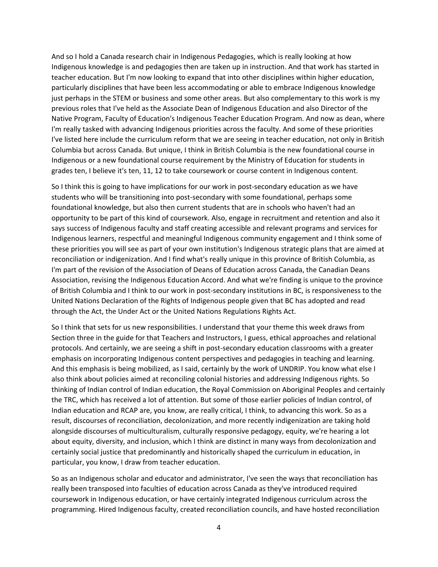And so I hold a Canada research chair in Indigenous Pedagogies, which is really looking at how Indigenous knowledge is and pedagogies then are taken up in instruction. And that work has started in teacher education. But I'm now looking to expand that into other disciplines within higher education, particularly disciplines that have been less accommodating or able to embrace Indigenous knowledge just perhaps in the STEM or business and some other areas. But also complementary to this work is my previous roles that I've held as the Associate Dean of Indigenous Education and also Director of the Native Program, Faculty of Education's Indigenous Teacher Education Program. And now as dean, where I'm really tasked with advancing Indigenous priorities across the faculty. And some of these priorities I've listed here include the curriculum reform that we are seeing in teacher education, not only in British Columbia but across Canada. But unique, I think in British Columbia is the new foundational course in Indigenous or a new foundational course requirement by the Ministry of Education for students in grades ten, I believe it's ten, 11, 12 to take coursework or course content in Indigenous content.

So I think this is going to have implications for our work in post-secondary education as we have students who will be transitioning into post-secondary with some foundational, perhaps some foundational knowledge, but also then current students that are in schools who haven't had an opportunity to be part of this kind of coursework. Also, engage in recruitment and retention and also it says success of Indigenous faculty and staff creating accessible and relevant programs and services for Indigenous learners, respectful and meaningful Indigenous community engagement and I think some of these priorities you will see as part of your own institution's Indigenous strategic plans that are aimed at reconciliation or indigenization. And I find what's really unique in this province of British Columbia, as I'm part of the revision of the Association of Deans of Education across Canada, the Canadian Deans Association, revising the Indigenous Education Accord. And what we're finding is unique to the province of British Columbia and I think to our work in post-secondary institutions in BC, is responsiveness to the United Nations Declaration of the Rights of Indigenous people given that BC has adopted and read through the Act, the Under Act or the United Nations Regulations Rights Act.

So I think that sets for us new responsibilities. I understand that your theme this week draws from Section three in the guide for that Teachers and Instructors, I guess, ethical approaches and relational protocols. And certainly, we are seeing a shift in post-secondary education classrooms with a greater emphasis on incorporating Indigenous content perspectives and pedagogies in teaching and learning. And this emphasis is being mobilized, as I said, certainly by the work of UNDRIP. You know what else I also think about policies aimed at reconciling colonial histories and addressing Indigenous rights. So thinking of Indian control of Indian education, the Royal Commission on Aboriginal Peoples and certainly the TRC, which has received a lot of attention. But some of those earlier policies of Indian control, of Indian education and RCAP are, you know, are really critical, I think, to advancing this work. So as a result, discourses of reconciliation, decolonization, and more recently indigenization are taking hold alongside discourses of multiculturalism, culturally responsive pedagogy, equity, we're hearing a lot about equity, diversity, and inclusion, which I think are distinct in many ways from decolonization and certainly social justice that predominantly and historically shaped the curriculum in education, in particular, you know, I draw from teacher education.

So as an Indigenous scholar and educator and administrator, I've seen the ways that reconciliation has really been transposed into faculties of education across Canada as they've introduced required coursework in Indigenous education, or have certainly integrated Indigenous curriculum across the programming. Hired Indigenous faculty, created reconciliation councils, and have hosted reconciliation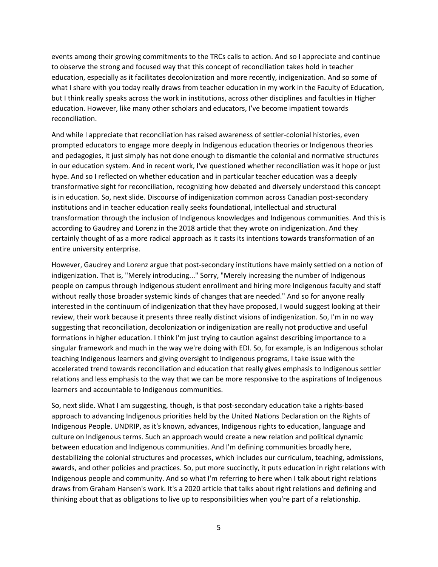events among their growing commitments to the TRCs calls to action. And so I appreciate and continue to observe the strong and focused way that this concept of reconciliation takes hold in teacher education, especially as it facilitates decolonization and more recently, indigenization. And so some of what I share with you today really draws from teacher education in my work in the Faculty of Education, but I think really speaks across the work in institutions, across other disciplines and faculties in Higher education. However, like many other scholars and educators, I've become impatient towards reconciliation.

And while I appreciate that reconciliation has raised awareness of settler-colonial histories, even prompted educators to engage more deeply in Indigenous education theories or Indigenous theories and pedagogies, it just simply has not done enough to dismantle the colonial and normative structures in our education system. And in recent work, I've questioned whether reconciliation was it hope or just hype. And so I reflected on whether education and in particular teacher education was a deeply transformative sight for reconciliation, recognizing how debated and diversely understood this concept is in education. So, next slide. Discourse of indigenization common across Canadian post-secondary institutions and in teacher education really seeks foundational, intellectual and structural transformation through the inclusion of Indigenous knowledges and Indigenous communities. And this is according to Gaudrey and Lorenz in the 2018 article that they wrote on indigenization. And they certainly thought of as a more radical approach as it casts its intentions towards transformation of an entire university enterprise.

However, Gaudrey and Lorenz argue that post-secondary institutions have mainly settled on a notion of indigenization. That is, "Merely introducing..." Sorry, "Merely increasing the number of Indigenous people on campus through Indigenous student enrollment and hiring more Indigenous faculty and staff without really those broader systemic kinds of changes that are needed." And so for anyone really interested in the continuum of indigenization that they have proposed, I would suggest looking at their review, their work because it presents three really distinct visions of indigenization. So, I'm in no way suggesting that reconciliation, decolonization or indigenization are really not productive and useful formations in higher education. I think I'm just trying to caution against describing importance to a singular framework and much in the way we're doing with EDI. So, for example, is an Indigenous scholar teaching Indigenous learners and giving oversight to Indigenous programs, I take issue with the accelerated trend towards reconciliation and education that really gives emphasis to Indigenous settler relations and less emphasis to the way that we can be more responsive to the aspirations of Indigenous learners and accountable to Indigenous communities.

So, next slide. What I am suggesting, though, is that post-secondary education take a rights-based approach to advancing Indigenous priorities held by the United Nations Declaration on the Rights of Indigenous People. UNDRIP, as it's known, advances, Indigenous rights to education, language and culture on Indigenous terms. Such an approach would create a new relation and political dynamic between education and Indigenous communities. And I'm defining communities broadly here, destabilizing the colonial structures and processes, which includes our curriculum, teaching, admissions, awards, and other policies and practices. So, put more succinctly, it puts education in right relations with Indigenous people and community. And so what I'm referring to here when I talk about right relations draws from Graham Hansen's work. It's a 2020 article that talks about right relations and defining and thinking about that as obligations to live up to responsibilities when you're part of a relationship.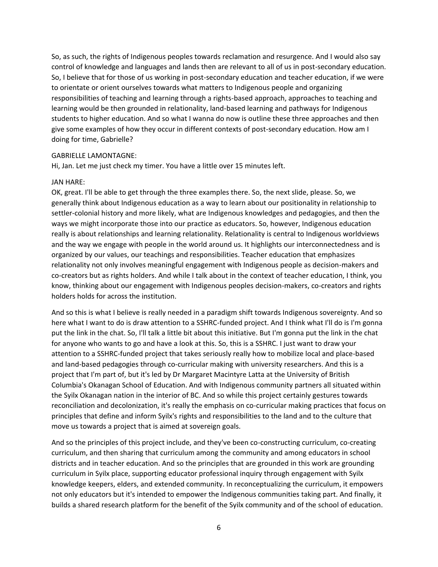So, as such, the rights of Indigenous peoples towards reclamation and resurgence. And I would also say control of knowledge and languages and lands then are relevant to all of us in post-secondary education. So, I believe that for those of us working in post-secondary education and teacher education, if we were to orientate or orient ourselves towards what matters to Indigenous people and organizing responsibilities of teaching and learning through a rights-based approach, approaches to teaching and learning would be then grounded in relationality, land-based learning and pathways for Indigenous students to higher education. And so what I wanna do now is outline these three approaches and then give some examples of how they occur in different contexts of post-secondary education. How am I doing for time, Gabrielle?

#### GABRIELLE LAMONTAGNE:

Hi, Jan. Let me just check my timer. You have a little over 15 minutes left.

#### JAN HARE:

OK, great. I'll be able to get through the three examples there. So, the next slide, please. So, we generally think about Indigenous education as a way to learn about our positionality in relationship to settler-colonial history and more likely, what are Indigenous knowledges and pedagogies, and then the ways we might incorporate those into our practice as educators. So, however, Indigenous education really is about relationships and learning relationality. Relationality is central to Indigenous worldviews and the way we engage with people in the world around us. It highlights our interconnectedness and is organized by our values, our teachings and responsibilities. Teacher education that emphasizes relationality not only involves meaningful engagement with Indigenous people as decision-makers and co-creators but as rights holders. And while I talk about in the context of teacher education, I think, you know, thinking about our engagement with Indigenous peoples decision-makers, co-creators and rights holders holds for across the institution.

And so this is what I believe is really needed in a paradigm shift towards Indigenous sovereignty. And so here what I want to do is draw attention to a SSHRC-funded project. And I think what I'll do is I'm gonna put the link in the chat. So, I'll talk a little bit about this initiative. But I'm gonna put the link in the chat for anyone who wants to go and have a look at this. So, this is a SSHRC. I just want to draw your attention to a SSHRC-funded project that takes seriously really how to mobilize local and place-based and land-based pedagogies through co-curricular making with university researchers. And this is a project that I'm part of, but it's led by Dr Margaret Macintyre Latta at the University of British Columbia's Okanagan School of Education. And with Indigenous community partners all situated within the Syilx Okanagan nation in the interior of BC. And so while this project certainly gestures towards reconciliation and decolonization, it's really the emphasis on co-curricular making practices that focus on principles that define and inform Syilx's rights and responsibilities to the land and to the culture that move us towards a project that is aimed at sovereign goals.

And so the principles of this project include, and they've been co-constructing curriculum, co-creating curriculum, and then sharing that curriculum among the community and among educators in school districts and in teacher education. And so the principles that are grounded in this work are grounding curriculum in Syilx place, supporting educator professional inquiry through engagement with Syilx knowledge keepers, elders, and extended community. In reconceptualizing the curriculum, it empowers not only educators but it's intended to empower the Indigenous communities taking part. And finally, it builds a shared research platform for the benefit of the Syilx community and of the school of education.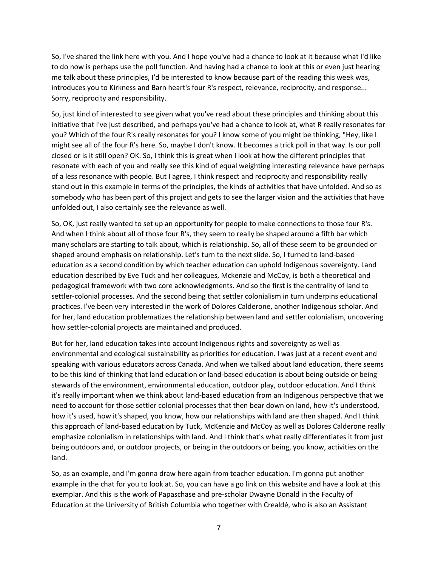So, I've shared the link here with you. And I hope you've had a chance to look at it because what I'd like to do now is perhaps use the poll function. And having had a chance to look at this or even just hearing me talk about these principles, I'd be interested to know because part of the reading this week was, introduces you to Kirkness and Barn heart's four R's respect, relevance, reciprocity, and response... Sorry, reciprocity and responsibility.

So, just kind of interested to see given what you've read about these principles and thinking about this initiative that I've just described, and perhaps you've had a chance to look at, what R really resonates for you? Which of the four R's really resonates for you? I know some of you might be thinking, "Hey, like I might see all of the four R's here. So, maybe I don't know. It becomes a trick poll in that way. Is our poll closed or is it still open? OK. So, I think this is great when I look at how the different principles that resonate with each of you and really see this kind of equal weighting interesting relevance have perhaps of a less resonance with people. But I agree, I think respect and reciprocity and responsibility really stand out in this example in terms of the principles, the kinds of activities that have unfolded. And so as somebody who has been part of this project and gets to see the larger vision and the activities that have unfolded out, I also certainly see the relevance as well.

So, OK, just really wanted to set up an opportunity for people to make connections to those four R's. And when I think about all of those four R's, they seem to really be shaped around a fifth bar which many scholars are starting to talk about, which is relationship. So, all of these seem to be grounded or shaped around emphasis on relationship. Let's turn to the next slide. So, I turned to land-based education as a second condition by which teacher education can uphold Indigenous sovereignty. Land education described by Eve Tuck and her colleagues, Mckenzie and McCoy, is both a theoretical and pedagogical framework with two core acknowledgments. And so the first is the centrality of land to settler-colonial processes. And the second being that settler colonialism in turn underpins educational practices. I've been very interested in the work of Dolores Calderone, another Indigenous scholar. And for her, land education problematizes the relationship between land and settler colonialism, uncovering how settler-colonial projects are maintained and produced.

But for her, land education takes into account Indigenous rights and sovereignty as well as environmental and ecological sustainability as priorities for education. I was just at a recent event and speaking with various educators across Canada. And when we talked about land education, there seems to be this kind of thinking that land education or land-based education is about being outside or being stewards of the environment, environmental education, outdoor play, outdoor education. And I think it's really important when we think about land-based education from an Indigenous perspective that we need to account for those settler colonial processes that then bear down on land, how it's understood, how it's used, how it's shaped, you know, how our relationships with land are then shaped. And I think this approach of land-based education by Tuck, McKenzie and McCoy as well as Dolores Calderone really emphasize colonialism in relationships with land. And I think that's what really differentiates it from just being outdoors and, or outdoor projects, or being in the outdoors or being, you know, activities on the land.

So, as an example, and I'm gonna draw here again from teacher education. I'm gonna put another example in the chat for you to look at. So, you can have a go link on this website and have a look at this exemplar. And this is the work of Papaschase and pre-scholar Dwayne Donald in the Faculty of Education at the University of British Columbia who together with Crealdé, who is also an Assistant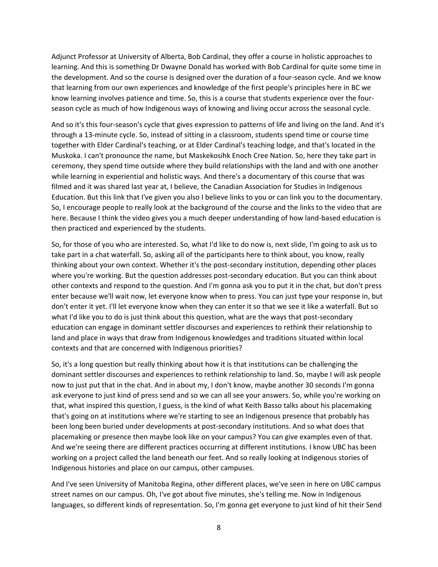Adjunct Professor at University of Alberta, Bob Cardinal, they offer a course in holistic approaches to learning. And this is something Dr Dwayne Donald has worked with Bob Cardinal for quite some time in the development. And so the course is designed over the duration of a four-season cycle. And we know that learning from our own experiences and knowledge of the first people's principles here in BC we know learning involves patience and time. So, this is a course that students experience over the fourseason cycle as much of how Indigenous ways of knowing and living occur across the seasonal cycle.

And so it's this four-season's cycle that gives expression to patterns of life and living on the land. And it's through a 13-minute cycle. So, instead of sitting in a classroom, students spend time or course time together with Elder Cardinal's teaching, or at Elder Cardinal's teaching lodge, and that's located in the Muskoka. I can't pronounce the name, but Maskekosihk Enoch Cree Nation. So, here they take part in ceremony, they spend time outside where they build relationships with the land and with one another while learning in experiential and holistic ways. And there's a documentary of this course that was filmed and it was shared last year at, I believe, the Canadian Association for Studies in Indigenous Education. But this link that I've given you also I believe links to you or can link you to the documentary. So, I encourage people to really look at the background of the course and the links to the video that are here. Because I think the video gives you a much deeper understanding of how land-based education is then practiced and experienced by the students.

So, for those of you who are interested. So, what I'd like to do now is, next slide, I'm going to ask us to take part in a chat waterfall. So, asking all of the participants here to think about, you know, really thinking about your own context. Whether it's the post-secondary institution, depending other places where you're working. But the question addresses post-secondary education. But you can think about other contexts and respond to the question. And I'm gonna ask you to put it in the chat, but don't press enter because we'll wait now, let everyone know when to press. You can just type your response in, but don't enter it yet. I'll let everyone know when they can enter it so that we see it like a waterfall. But so what I'd like you to do is just think about this question, what are the ways that post-secondary education can engage in dominant settler discourses and experiences to rethink their relationship to land and place in ways that draw from Indigenous knowledges and traditions situated within local contexts and that are concerned with Indigenous priorities?

So, it's a long question but really thinking about how it is that institutions can be challenging the dominant settler discourses and experiences to rethink relationship to land. So, maybe I will ask people now to just put that in the chat. And in about my, I don't know, maybe another 30 seconds I'm gonna ask everyone to just kind of press send and so we can all see your answers. So, while you're working on that, what inspired this question, I guess, is the kind of what Keith Basso talks about his placemaking that's going on at institutions where we're starting to see an Indigenous presence that probably has been long been buried under developments at post-secondary institutions. And so what does that placemaking or presence then maybe look like on your campus? You can give examples even of that. And we're seeing there are different practices occurring at different institutions. I know UBC has been working on a project called the land beneath our feet. And so really looking at Indigenous stories of Indigenous histories and place on our campus, other campuses.

And I've seen University of Manitoba Regina, other different places, we've seen in here on UBC campus street names on our campus. Oh, I've got about five minutes, she's telling me. Now in Indigenous languages, so different kinds of representation. So, I'm gonna get everyone to just kind of hit their Send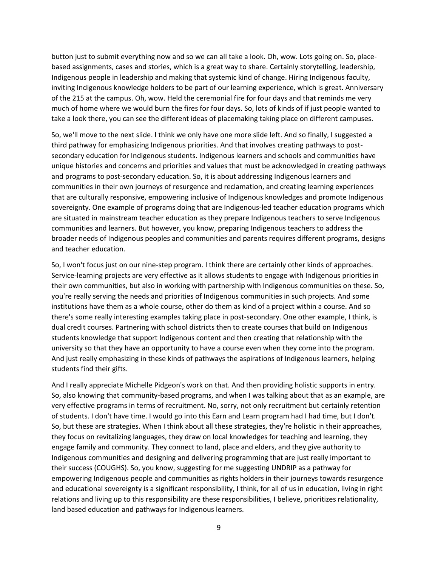button just to submit everything now and so we can all take a look. Oh, wow. Lots going on. So, placebased assignments, cases and stories, which is a great way to share. Certainly storytelling, leadership, Indigenous people in leadership and making that systemic kind of change. Hiring Indigenous faculty, inviting Indigenous knowledge holders to be part of our learning experience, which is great. Anniversary of the 215 at the campus. Oh, wow. Held the ceremonial fire for four days and that reminds me very much of home where we would burn the fires for four days. So, lots of kinds of if just people wanted to take a look there, you can see the different ideas of placemaking taking place on different campuses.

So, we'll move to the next slide. I think we only have one more slide left. And so finally, I suggested a third pathway for emphasizing Indigenous priorities. And that involves creating pathways to postsecondary education for Indigenous students. Indigenous learners and schools and communities have unique histories and concerns and priorities and values that must be acknowledged in creating pathways and programs to post-secondary education. So, it is about addressing Indigenous learners and communities in their own journeys of resurgence and reclamation, and creating learning experiences that are culturally responsive, empowering inclusive of Indigenous knowledges and promote Indigenous sovereignty. One example of programs doing that are Indigenous-led teacher education programs which are situated in mainstream teacher education as they prepare Indigenous teachers to serve Indigenous communities and learners. But however, you know, preparing Indigenous teachers to address the broader needs of Indigenous peoples and communities and parents requires different programs, designs and teacher education.

So, I won't focus just on our nine-step program. I think there are certainly other kinds of approaches. Service-learning projects are very effective as it allows students to engage with Indigenous priorities in their own communities, but also in working with partnership with Indigenous communities on these. So, you're really serving the needs and priorities of Indigenous communities in such projects. And some institutions have them as a whole course, other do them as kind of a project within a course. And so there's some really interesting examples taking place in post-secondary. One other example, I think, is dual credit courses. Partnering with school districts then to create courses that build on Indigenous students knowledge that support Indigenous content and then creating that relationship with the university so that they have an opportunity to have a course even when they come into the program. And just really emphasizing in these kinds of pathways the aspirations of Indigenous learners, helping students find their gifts.

And I really appreciate Michelle Pidgeon's work on that. And then providing holistic supports in entry. So, also knowing that community-based programs, and when I was talking about that as an example, are very effective programs in terms of recruitment. No, sorry, not only recruitment but certainly retention of students. I don't have time. I would go into this Earn and Learn program had I had time, but I don't. So, but these are strategies. When I think about all these strategies, they're holistic in their approaches, they focus on revitalizing languages, they draw on local knowledges for teaching and learning, they engage family and community. They connect to land, place and elders, and they give authority to Indigenous communities and designing and delivering programming that are just really important to their success (COUGHS). So, you know, suggesting for me suggesting UNDRIP as a pathway for empowering Indigenous people and communities as rights holders in their journeys towards resurgence and educational sovereignty is a significant responsibility, I think, for all of us in education, living in right relations and living up to this responsibility are these responsibilities, I believe, prioritizes relationality, land based education and pathways for Indigenous learners.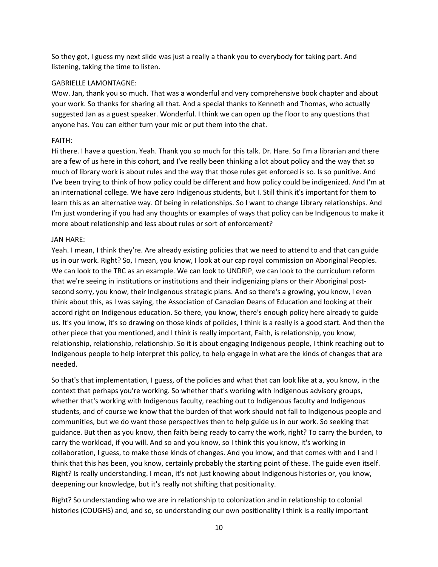So they got, I guess my next slide was just a really a thank you to everybody for taking part. And listening, taking the time to listen.

### GABRIELLE LAMONTAGNE:

Wow. Jan, thank you so much. That was a wonderful and very comprehensive book chapter and about your work. So thanks for sharing all that. And a special thanks to Kenneth and Thomas, who actually suggested Jan as a guest speaker. Wonderful. I think we can open up the floor to any questions that anyone has. You can either turn your mic or put them into the chat.

## FAITH:

Hi there. I have a question. Yeah. Thank you so much for this talk. Dr. Hare. So I'm a librarian and there are a few of us here in this cohort, and I've really been thinking a lot about policy and the way that so much of library work is about rules and the way that those rules get enforced is so. Is so punitive. And I've been trying to think of how policy could be different and how policy could be indigenized. And I'm at an international college. We have zero Indigenous students, but I. Still think it's important for them to learn this as an alternative way. Of being in relationships. So I want to change Library relationships. And I'm just wondering if you had any thoughts or examples of ways that policy can be Indigenous to make it more about relationship and less about rules or sort of enforcement?

## JAN HARE:

Yeah. I mean, I think they're. Are already existing policies that we need to attend to and that can guide us in our work. Right? So, I mean, you know, I look at our cap royal commission on Aboriginal Peoples. We can look to the TRC as an example. We can look to UNDRIP, we can look to the curriculum reform that we're seeing in institutions or institutions and their indigenizing plans or their Aboriginal postsecond sorry, you know, their Indigenous strategic plans. And so there's a growing, you know, I even think about this, as I was saying, the Association of Canadian Deans of Education and looking at their accord right on Indigenous education. So there, you know, there's enough policy here already to guide us. It's you know, it's so drawing on those kinds of policies, I think is a really is a good start. And then the other piece that you mentioned, and I think is really important, Faith, is relationship, you know, relationship, relationship, relationship. So it is about engaging Indigenous people, I think reaching out to Indigenous people to help interpret this policy, to help engage in what are the kinds of changes that are needed.

So that's that implementation, I guess, of the policies and what that can look like at a, you know, in the context that perhaps you're working. So whether that's working with Indigenous advisory groups, whether that's working with Indigenous faculty, reaching out to Indigenous faculty and Indigenous students, and of course we know that the burden of that work should not fall to Indigenous people and communities, but we do want those perspectives then to help guide us in our work. So seeking that guidance. But then as you know, then faith being ready to carry the work, right? To carry the burden, to carry the workload, if you will. And so and you know, so I think this you know, it's working in collaboration, I guess, to make those kinds of changes. And you know, and that comes with and I and I think that this has been, you know, certainly probably the starting point of these. The guide even itself. Right? Is really understanding. I mean, it's not just knowing about Indigenous histories or, you know, deepening our knowledge, but it's really not shifting that positionality.

Right? So understanding who we are in relationship to colonization and in relationship to colonial histories (COUGHS) and, and so, so understanding our own positionality I think is a really important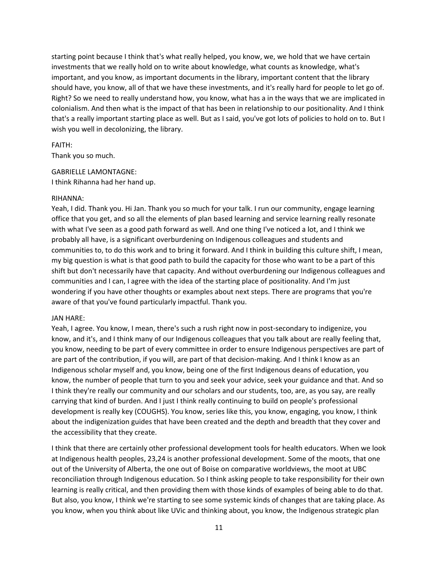starting point because I think that's what really helped, you know, we, we hold that we have certain investments that we really hold on to write about knowledge, what counts as knowledge, what's important, and you know, as important documents in the library, important content that the library should have, you know, all of that we have these investments, and it's really hard for people to let go of. Right? So we need to really understand how, you know, what has a in the ways that we are implicated in colonialism. And then what is the impact of that has been in relationship to our positionality. And I think that's a really important starting place as well. But as I said, you've got lots of policies to hold on to. But I wish you well in decolonizing, the library.

## FAITH:

Thank you so much.

# GABRIELLE LAMONTAGNE:

I think Rihanna had her hand up.

## RIHANNA:

Yeah, I did. Thank you. Hi Jan. Thank you so much for your talk. I run our community, engage learning office that you get, and so all the elements of plan based learning and service learning really resonate with what I've seen as a good path forward as well. And one thing I've noticed a lot, and I think we probably all have, is a significant overburdening on Indigenous colleagues and students and communities to, to do this work and to bring it forward. And I think in building this culture shift, I mean, my big question is what is that good path to build the capacity for those who want to be a part of this shift but don't necessarily have that capacity. And without overburdening our Indigenous colleagues and communities and I can, I agree with the idea of the starting place of positionality. And I'm just wondering if you have other thoughts or examples about next steps. There are programs that you're aware of that you've found particularly impactful. Thank you.

# JAN HARE:

Yeah, I agree. You know, I mean, there's such a rush right now in post-secondary to indigenize, you know, and it's, and I think many of our Indigenous colleagues that you talk about are really feeling that, you know, needing to be part of every committee in order to ensure Indigenous perspectives are part of are part of the contribution, if you will, are part of that decision-making. And I think I know as an Indigenous scholar myself and, you know, being one of the first Indigenous deans of education, you know, the number of people that turn to you and seek your advice, seek your guidance and that. And so I think they're really our community and our scholars and our students, too, are, as you say, are really carrying that kind of burden. And I just I think really continuing to build on people's professional development is really key (COUGHS). You know, series like this, you know, engaging, you know, I think about the indigenization guides that have been created and the depth and breadth that they cover and the accessibility that they create.

I think that there are certainly other professional development tools for health educators. When we look at Indigenous health peoples, 23,24 is another professional development. Some of the moots, that one out of the University of Alberta, the one out of Boise on comparative worldviews, the moot at UBC reconciliation through Indigenous education. So I think asking people to take responsibility for their own learning is really critical, and then providing them with those kinds of examples of being able to do that. But also, you know, I think we're starting to see some systemic kinds of changes that are taking place. As you know, when you think about like UVic and thinking about, you know, the Indigenous strategic plan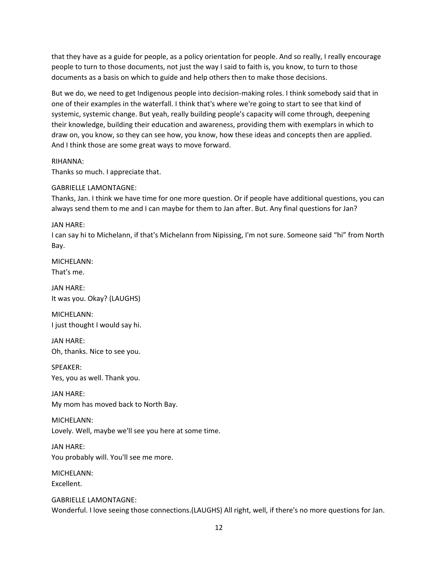that they have as a guide for people, as a policy orientation for people. And so really, I really encourage people to turn to those documents, not just the way I said to faith is, you know, to turn to those documents as a basis on which to guide and help others then to make those decisions.

But we do, we need to get Indigenous people into decision-making roles. I think somebody said that in one of their examples in the waterfall. I think that's where we're going to start to see that kind of systemic, systemic change. But yeah, really building people's capacity will come through, deepening their knowledge, building their education and awareness, providing them with exemplars in which to draw on, you know, so they can see how, you know, how these ideas and concepts then are applied. And I think those are some great ways to move forward.

# RIHANNA:

Thanks so much. I appreciate that.

## GABRIELLE LAMONTAGNE:

Thanks, Jan. I think we have time for one more question. Or if people have additional questions, you can always send them to me and I can maybe for them to Jan after. But. Any final questions for Jan?

## JAN HARE:

I can say hi to Michelann, if that's Michelann from Nipissing, I'm not sure. Someone said "hi" from North Bay.

MICHELANN: That's me.

JAN HARE: It was you. Okay? (LAUGHS)

MICHELANN: I just thought I would say hi.

JAN HARE: Oh, thanks. Nice to see you.

SPEAKER: Yes, you as well. Thank you.

JAN HARE: My mom has moved back to North Bay.

MICHELANN: Lovely. Well, maybe we'll see you here at some time.

JAN HARE: You probably will. You'll see me more.

MICHELANN: Excellent.

GABRIELLE LAMONTAGNE: Wonderful. I love seeing those connections.(LAUGHS) All right, well, if there's no more questions for Jan.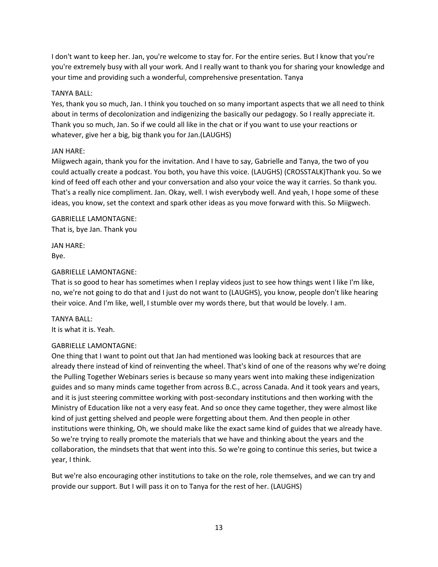I don't want to keep her. Jan, you're welcome to stay for. For the entire series. But I know that you're you're extremely busy with all your work. And I really want to thank you for sharing your knowledge and your time and providing such a wonderful, comprehensive presentation. Tanya

# TANYA BALL:

Yes, thank you so much, Jan. I think you touched on so many important aspects that we all need to think about in terms of decolonization and indigenizing the basically our pedagogy. So I really appreciate it. Thank you so much, Jan. So if we could all like in the chat or if you want to use your reactions or whatever, give her a big, big thank you for Jan.(LAUGHS)

## JAN HARE:

Miigwech again, thank you for the invitation. And I have to say, Gabrielle and Tanya, the two of you could actually create a podcast. You both, you have this voice. (LAUGHS) (CROSSTALK)Thank you. So we kind of feed off each other and your conversation and also your voice the way it carries. So thank you. That's a really nice compliment. Jan. Okay, well. I wish everybody well. And yeah, I hope some of these ideas, you know, set the context and spark other ideas as you move forward with this. So Miigwech.

## GABRIELLE LAMONTAGNE: That is, bye Jan. Thank you

JAN HARE: Bye.

## GABRIELLE LAMONTAGNE:

That is so good to hear has sometimes when I replay videos just to see how things went I like I'm like, no, we're not going to do that and I just do not want to (LAUGHS), you know, people don't like hearing their voice. And I'm like, well, I stumble over my words there, but that would be lovely. I am.

TANYA BALL: It is what it is. Yeah.

#### GABRIELLE LAMONTAGNE:

One thing that I want to point out that Jan had mentioned was looking back at resources that are already there instead of kind of reinventing the wheel. That's kind of one of the reasons why we're doing the Pulling Together Webinars series is because so many years went into making these indigenization guides and so many minds came together from across B.C., across Canada. And it took years and years, and it is just steering committee working with post-secondary institutions and then working with the Ministry of Education like not a very easy feat. And so once they came together, they were almost like kind of just getting shelved and people were forgetting about them. And then people in other institutions were thinking, Oh, we should make like the exact same kind of guides that we already have. So we're trying to really promote the materials that we have and thinking about the years and the collaboration, the mindsets that that went into this. So we're going to continue this series, but twice a year, I think.

But we're also encouraging other institutions to take on the role, role themselves, and we can try and provide our support. But I will pass it on to Tanya for the rest of her. (LAUGHS)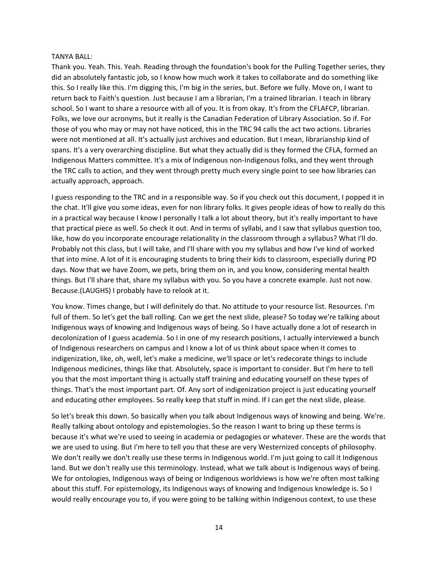### TANYA BALL:

Thank you. Yeah. This. Yeah. Reading through the foundation's book for the Pulling Together series, they did an absolutely fantastic job, so I know how much work it takes to collaborate and do something like this. So I really like this. I'm digging this, I'm big in the series, but. Before we fully. Move on, I want to return back to Faith's question. Just because I am a librarian, I'm a trained librarian. I teach in library school. So I want to share a resource with all of you. It is from okay. It's from the CFLAFCP, librarian. Folks, we love our acronyms, but it really is the Canadian Federation of Library Association. So if. For those of you who may or may not have noticed, this in the TRC 94 calls the act two actions. Libraries were not mentioned at all. It's actually just archives and education. But I mean, librarianship kind of spans. It's a very overarching discipline. But what they actually did is they formed the CFLA, formed an Indigenous Matters committee. It's a mix of Indigenous non-Indigenous folks, and they went through the TRC calls to action, and they went through pretty much every single point to see how libraries can actually approach, approach.

I guess responding to the TRC and in a responsible way. So if you check out this document, I popped it in the chat. It'll give you some ideas, even for non library folks. It gives people ideas of how to really do this in a practical way because I know I personally I talk a lot about theory, but it's really important to have that practical piece as well. So check it out. And in terms of syllabi, and I saw that syllabus question too, like, how do you incorporate encourage relationality in the classroom through a syllabus? What I'll do. Probably not this class, but I will take, and I'll share with you my syllabus and how I've kind of worked that into mine. A lot of it is encouraging students to bring their kids to classroom, especially during PD days. Now that we have Zoom, we pets, bring them on in, and you know, considering mental health things. But I'll share that, share my syllabus with you. So you have a concrete example. Just not now. Because.(LAUGHS) I probably have to relook at it.

You know. Times change, but I will definitely do that. No attitude to your resource list. Resources. I'm full of them. So let's get the ball rolling. Can we get the next slide, please? So today we're talking about Indigenous ways of knowing and Indigenous ways of being. So I have actually done a lot of research in decolonization of I guess academia. So I in one of my research positions, I actually interviewed a bunch of Indigenous researchers on campus and I know a lot of us think about space when it comes to indigenization, like, oh, well, let's make a medicine, we'll space or let's redecorate things to include Indigenous medicines, things like that. Absolutely, space is important to consider. But I'm here to tell you that the most important thing is actually staff training and educating yourself on these types of things. That's the most important part. Of. Any sort of indigenization project is just educating yourself and educating other employees. So really keep that stuff in mind. If I can get the next slide, please.

So let's break this down. So basically when you talk about Indigenous ways of knowing and being. We're. Really talking about ontology and epistemologies. So the reason I want to bring up these terms is because it's what we're used to seeing in academia or pedagogies or whatever. These are the words that we are used to using. But I'm here to tell you that these are very Westernized concepts of philosophy. We don't really we don't really use these terms in Indigenous world. I'm just going to call it Indigenous land. But we don't really use this terminology. Instead, what we talk about is Indigenous ways of being. We for ontologies, Indigenous ways of being or Indigenous worldviews is how we're often most talking about this stuff. For epistemology, its Indigenous ways of knowing and Indigenous knowledge is. So I would really encourage you to, if you were going to be talking within Indigenous context, to use these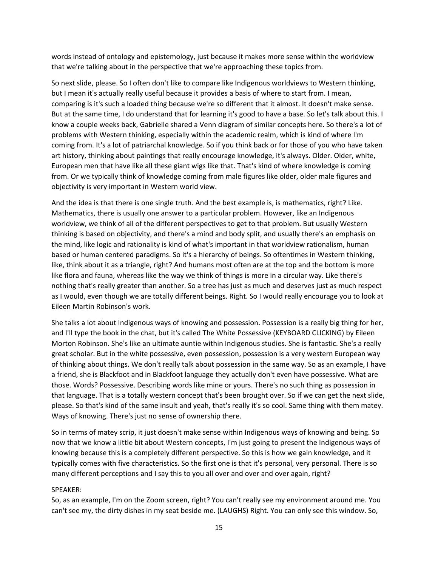words instead of ontology and epistemology, just because it makes more sense within the worldview that we're talking about in the perspective that we're approaching these topics from.

So next slide, please. So I often don't like to compare like Indigenous worldviews to Western thinking, but I mean it's actually really useful because it provides a basis of where to start from. I mean, comparing is it's such a loaded thing because we're so different that it almost. It doesn't make sense. But at the same time, I do understand that for learning it's good to have a base. So let's talk about this. I know a couple weeks back, Gabrielle shared a Venn diagram of similar concepts here. So there's a lot of problems with Western thinking, especially within the academic realm, which is kind of where I'm coming from. It's a lot of patriarchal knowledge. So if you think back or for those of you who have taken art history, thinking about paintings that really encourage knowledge, it's always. Older. Older, white, European men that have like all these giant wigs like that. That's kind of where knowledge is coming from. Or we typically think of knowledge coming from male figures like older, older male figures and objectivity is very important in Western world view.

And the idea is that there is one single truth. And the best example is, is mathematics, right? Like. Mathematics, there is usually one answer to a particular problem. However, like an Indigenous worldview, we think of all of the different perspectives to get to that problem. But usually Western thinking is based on objectivity, and there's a mind and body split, and usually there's an emphasis on the mind, like logic and rationality is kind of what's important in that worldview rationalism, human based or human centered paradigms. So it's a hierarchy of beings. So oftentimes in Western thinking, like, think about it as a triangle, right? And humans most often are at the top and the bottom is more like flora and fauna, whereas like the way we think of things is more in a circular way. Like there's nothing that's really greater than another. So a tree has just as much and deserves just as much respect as I would, even though we are totally different beings. Right. So I would really encourage you to look at Eileen Martin Robinson's work.

She talks a lot about Indigenous ways of knowing and possession. Possession is a really big thing for her, and I'll type the book in the chat, but it's called The White Possessive (KEYBOARD CLICKING) by Eileen Morton Robinson. She's like an ultimate auntie within Indigenous studies. She is fantastic. She's a really great scholar. But in the white possessive, even possession, possession is a very western European way of thinking about things. We don't really talk about possession in the same way. So as an example, I have a friend, she is Blackfoot and in Blackfoot language they actually don't even have possessive. What are those. Words? Possessive. Describing words like mine or yours. There's no such thing as possession in that language. That is a totally western concept that's been brought over. So if we can get the next slide, please. So that's kind of the same insult and yeah, that's really it's so cool. Same thing with them matey. Ways of knowing. There's just no sense of ownership there.

So in terms of matey scrip, it just doesn't make sense within Indigenous ways of knowing and being. So now that we know a little bit about Western concepts, I'm just going to present the Indigenous ways of knowing because this is a completely different perspective. So this is how we gain knowledge, and it typically comes with five characteristics. So the first one is that it's personal, very personal. There is so many different perceptions and I say this to you all over and over and over again, right?

#### SPEAKER:

So, as an example, I'm on the Zoom screen, right? You can't really see my environment around me. You can't see my, the dirty dishes in my seat beside me. (LAUGHS) Right. You can only see this window. So,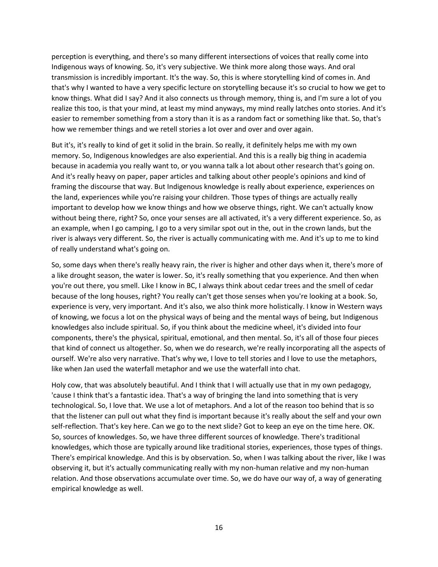perception is everything, and there's so many different intersections of voices that really come into Indigenous ways of knowing. So, it's very subjective. We think more along those ways. And oral transmission is incredibly important. It's the way. So, this is where storytelling kind of comes in. And that's why I wanted to have a very specific lecture on storytelling because it's so crucial to how we get to know things. What did I say? And it also connects us through memory, thing is, and I'm sure a lot of you realize this too, is that your mind, at least my mind anyways, my mind really latches onto stories. And it's easier to remember something from a story than it is as a random fact or something like that. So, that's how we remember things and we retell stories a lot over and over and over again.

But it's, it's really to kind of get it solid in the brain. So really, it definitely helps me with my own memory. So, Indigenous knowledges are also experiential. And this is a really big thing in academia because in academia you really want to, or you wanna talk a lot about other research that's going on. And it's really heavy on paper, paper articles and talking about other people's opinions and kind of framing the discourse that way. But Indigenous knowledge is really about experience, experiences on the land, experiences while you're raising your children. Those types of things are actually really important to develop how we know things and how we observe things, right. We can't actually know without being there, right? So, once your senses are all activated, it's a very different experience. So, as an example, when I go camping, I go to a very similar spot out in the, out in the crown lands, but the river is always very different. So, the river is actually communicating with me. And it's up to me to kind of really understand what's going on.

So, some days when there's really heavy rain, the river is higher and other days when it, there's more of a like drought season, the water is lower. So, it's really something that you experience. And then when you're out there, you smell. Like I know in BC, I always think about cedar trees and the smell of cedar because of the long houses, right? You really can't get those senses when you're looking at a book. So, experience is very, very important. And it's also, we also think more holistically. I know in Western ways of knowing, we focus a lot on the physical ways of being and the mental ways of being, but Indigenous knowledges also include spiritual. So, if you think about the medicine wheel, it's divided into four components, there's the physical, spiritual, emotional, and then mental. So, it's all of those four pieces that kind of connect us altogether. So, when we do research, we're really incorporating all the aspects of ourself. We're also very narrative. That's why we, I love to tell stories and I love to use the metaphors, like when Jan used the waterfall metaphor and we use the waterfall into chat.

Holy cow, that was absolutely beautiful. And I think that I will actually use that in my own pedagogy, 'cause I think that's a fantastic idea. That's a way of bringing the land into something that is very technological. So, I love that. We use a lot of metaphors. And a lot of the reason too behind that is so that the listener can pull out what they find is important because it's really about the self and your own self-reflection. That's key here. Can we go to the next slide? Got to keep an eye on the time here. OK. So, sources of knowledges. So, we have three different sources of knowledge. There's traditional knowledges, which those are typically around like traditional stories, experiences, those types of things. There's empirical knowledge. And this is by observation. So, when I was talking about the river, like I was observing it, but it's actually communicating really with my non-human relative and my non-human relation. And those observations accumulate over time. So, we do have our way of, a way of generating empirical knowledge as well.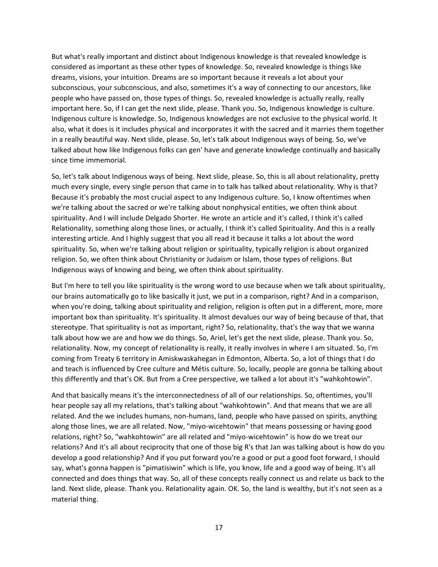But what's really important and distinct about Indigenous knowledge is that revealed knowledge is considered as important as these other types of knowledge. So, revealed knowledge is things like dreams, visions, your intuition. Dreams are so important because it reveals a lot about your subconscious, your subconscious, and also, sometimes it's a way of connecting to our ancestors, like people who have passed on, those types of things. So, revealed knowledge is actually really, really important here. So, if I can get the next slide, please. Thank you. So, Indigenous knowledge is culture. Indigenous culture is knowledge. So, Indigenous knowledges are not exclusive to the physical world. It also, what it does is it includes physical and incorporates it with the sacred and it marries them together in a really beautiful way. Next slide, please. So, let's talk about Indigenous ways of being. So, we've talked about how like Indigenous folks can gen' have and generate knowledge continually and basically since time immemorial.

So, let's talk about Indigenous ways of being. Next slide, please. So, this is all about relationality, pretty much every single, every single person that came in to talk has talked about relationality. Why is that? Because it's probably the most crucial aspect to any Indigenous culture. So, I know oftentimes when we're talking about the sacred or we're talking about nonphysical entities, we often think about spirituality. And I will include Delgado Shorter. He wrote an article and it's called, I think it's called Relationality, something along those lines, or actually, I think it's called Spirituality. And this is a really interesting article. And I highly suggest that you all read it because it talks a lot about the word spirituality. So, when we're talking about religion or spirituality, typically religion is about organized religion. So, we often think about Christianity or Judaism or Islam, those types of religions. But Indigenous ways of knowing and being, we often think about spirituality.

But I'm here to tell you like spirituality is the wrong word to use because when we talk about spirituality, our brains automatically go to like basically it just, we put in a comparison, right? And in a comparison, when you're doing, talking about spirituality and religion, religion is often put in a different, more, more important box than spirituality. It's spirituality. It almost devalues our way of being because of that, that stereotype. That spirituality is not as important, right? So, relationality, that's the way that we wanna talk about how we are and how we do things. So, Ariel, let's get the next slide, please. Thank you. So, relationality. Now, my concept of relationality is really, it really involves in where I am situated. So, I'm coming from Treaty 6 territory in Amiskwaskahegan in Edmonton, Alberta. So, a lot of things that I do and teach is influenced by Cree culture and Métis culture. So, locally, people are gonna be talking about this differently and that's OK. But from a Cree perspective, we talked a lot about it's "wahkohtowin".

And that basically means it's the interconnectedness of all of our relationships. So, oftentimes, you'll hear people say all my relations, that's talking about "wahkohtowin". And that means that we are all related. And the we includes humans, non-humans, land, people who have passed on spirits, anything along those lines, we are all related. Now, "miyo-wicehtowin" that means possessing or having good relations, right? So, "wahkohtowin" are all related and "miyo-wicehtowin" is how do we treat our relations? And it's all about reciprocity that one of those big R's that Jan was talking about is how do you develop a good relationship? And if you put forward you're a good or put a good foot forward, I should say, what's gonna happen is "pimatisiwin" which is life, you know, life and a good way of being. It's all connected and does things that way. So, all of these concepts really connect us and relate us back to the land. Next slide, please. Thank you. Relationality again. OK. So, the land is wealthy, but it's not seen as a material thing.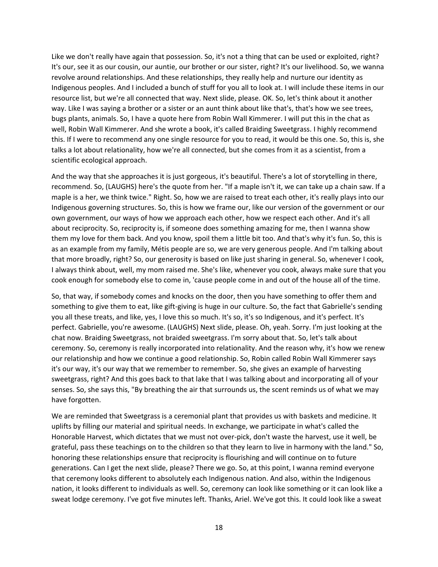Like we don't really have again that possession. So, it's not a thing that can be used or exploited, right? It's our, see it as our cousin, our auntie, our brother or our sister, right? It's our livelihood. So, we wanna revolve around relationships. And these relationships, they really help and nurture our identity as Indigenous peoples. And I included a bunch of stuff for you all to look at. I will include these items in our resource list, but we're all connected that way. Next slide, please. OK. So, let's think about it another way. Like I was saying a brother or a sister or an aunt think about like that's, that's how we see trees, bugs plants, animals. So, I have a quote here from Robin Wall Kimmerer. I will put this in the chat as well, Robin Wall Kimmerer. And she wrote a book, it's called Braiding Sweetgrass. I highly recommend this. If I were to recommend any one single resource for you to read, it would be this one. So, this is, she talks a lot about relationality, how we're all connected, but she comes from it as a scientist, from a scientific ecological approach.

And the way that she approaches it is just gorgeous, it's beautiful. There's a lot of storytelling in there, recommend. So, (LAUGHS) here's the quote from her. "If a maple isn't it, we can take up a chain saw. If a maple is a her, we think twice." Right. So, how we are raised to treat each other, it's really plays into our Indigenous governing structures. So, this is how we frame our, like our version of the government or our own government, our ways of how we approach each other, how we respect each other. And it's all about reciprocity. So, reciprocity is, if someone does something amazing for me, then I wanna show them my love for them back. And you know, spoil them a little bit too. And that's why it's fun. So, this is as an example from my family, Métis people are so, we are very generous people. And I'm talking about that more broadly, right? So, our generosity is based on like just sharing in general. So, whenever I cook, I always think about, well, my mom raised me. She's like, whenever you cook, always make sure that you cook enough for somebody else to come in, 'cause people come in and out of the house all of the time.

So, that way, if somebody comes and knocks on the door, then you have something to offer them and something to give them to eat, like gift-giving is huge in our culture. So, the fact that Gabrielle's sending you all these treats, and like, yes, I love this so much. It's so, it's so Indigenous, and it's perfect. It's perfect. Gabrielle, you're awesome. (LAUGHS) Next slide, please. Oh, yeah. Sorry. I'm just looking at the chat now. Braiding Sweetgrass, not braided sweetgrass. I'm sorry about that. So, let's talk about ceremony. So, ceremony is really incorporated into relationality. And the reason why, it's how we renew our relationship and how we continue a good relationship. So, Robin called Robin Wall Kimmerer says it's our way, it's our way that we remember to remember. So, she gives an example of harvesting sweetgrass, right? And this goes back to that lake that I was talking about and incorporating all of your senses. So, she says this, "By breathing the air that surrounds us, the scent reminds us of what we may have forgotten.

We are reminded that Sweetgrass is a ceremonial plant that provides us with baskets and medicine. It uplifts by filling our material and spiritual needs. In exchange, we participate in what's called the Honorable Harvest, which dictates that we must not over-pick, don't waste the harvest, use it well, be grateful, pass these teachings on to the children so that they learn to live in harmony with the land." So, honoring these relationships ensure that reciprocity is flourishing and will continue on to future generations. Can I get the next slide, please? There we go. So, at this point, I wanna remind everyone that ceremony looks different to absolutely each Indigenous nation. And also, within the Indigenous nation, it looks different to individuals as well. So, ceremony can look like something or it can look like a sweat lodge ceremony. I've got five minutes left. Thanks, Ariel. We've got this. It could look like a sweat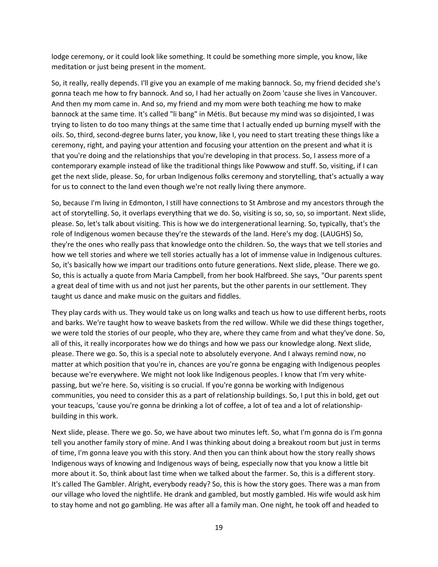lodge ceremony, or it could look like something. It could be something more simple, you know, like meditation or just being present in the moment.

So, it really, really depends. I'll give you an example of me making bannock. So, my friend decided she's gonna teach me how to fry bannock. And so, I had her actually on Zoom 'cause she lives in Vancouver. And then my mom came in. And so, my friend and my mom were both teaching me how to make bannock at the same time. It's called "li bang" in Métis. But because my mind was so disjointed, I was trying to listen to do too many things at the same time that I actually ended up burning myself with the oils. So, third, second-degree burns later, you know, like I, you need to start treating these things like a ceremony, right, and paying your attention and focusing your attention on the present and what it is that you're doing and the relationships that you're developing in that process. So, I assess more of a contemporary example instead of like the traditional things like Powwow and stuff. So, visiting, if I can get the next slide, please. So, for urban Indigenous folks ceremony and storytelling, that's actually a way for us to connect to the land even though we're not really living there anymore.

So, because I'm living in Edmonton, I still have connections to St Ambrose and my ancestors through the act of storytelling. So, it overlaps everything that we do. So, visiting is so, so, so, so important. Next slide, please. So, let's talk about visiting. This is how we do intergenerational learning. So, typically, that's the role of Indigenous women because they're the stewards of the land. Here's my dog. (LAUGHS) So, they're the ones who really pass that knowledge onto the children. So, the ways that we tell stories and how we tell stories and where we tell stories actually has a lot of immense value in Indigenous cultures. So, it's basically how we impart our traditions onto future generations. Next slide, please. There we go. So, this is actually a quote from Maria Campbell, from her book Halfbreed. She says, "Our parents spent a great deal of time with us and not just her parents, but the other parents in our settlement. They taught us dance and make music on the guitars and fiddles.

They play cards with us. They would take us on long walks and teach us how to use different herbs, roots and barks. We're taught how to weave baskets from the red willow. While we did these things together, we were told the stories of our people, who they are, where they came from and what they've done. So, all of this, it really incorporates how we do things and how we pass our knowledge along. Next slide, please. There we go. So, this is a special note to absolutely everyone. And I always remind now, no matter at which position that you're in, chances are you're gonna be engaging with Indigenous peoples because we're everywhere. We might not look like Indigenous peoples. I know that I'm very whitepassing, but we're here. So, visiting is so crucial. If you're gonna be working with Indigenous communities, you need to consider this as a part of relationship buildings. So, I put this in bold, get out your teacups, 'cause you're gonna be drinking a lot of coffee, a lot of tea and a lot of relationshipbuilding in this work.

Next slide, please. There we go. So, we have about two minutes left. So, what I'm gonna do is I'm gonna tell you another family story of mine. And I was thinking about doing a breakout room but just in terms of time, I'm gonna leave you with this story. And then you can think about how the story really shows Indigenous ways of knowing and Indigenous ways of being, especially now that you know a little bit more about it. So, think about last time when we talked about the farmer. So, this is a different story. It's called The Gambler. Alright, everybody ready? So, this is how the story goes. There was a man from our village who loved the nightlife. He drank and gambled, but mostly gambled. His wife would ask him to stay home and not go gambling. He was after all a family man. One night, he took off and headed to